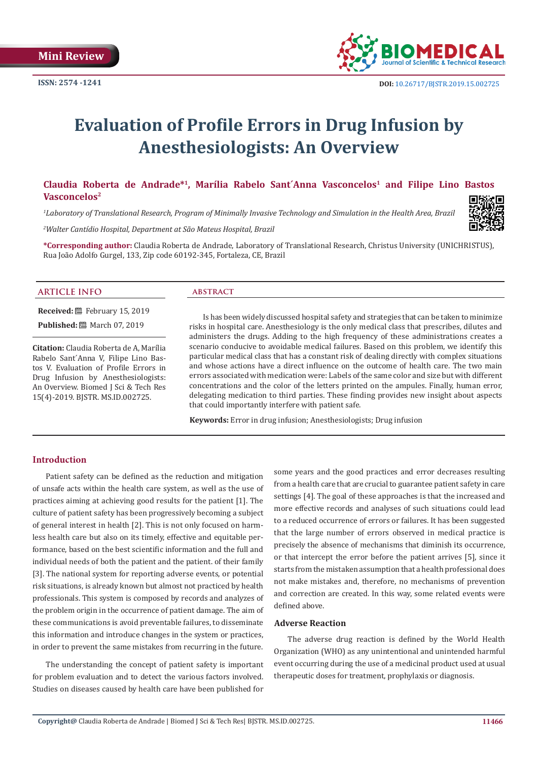

# **Evaluation of Profile Errors in Drug Infusion by Anesthesiologists: An Overview**

# **Claudia Roberta de Andrade\*<sup>1</sup>, Marília Rabelo Sant´Anna Vasconcelos<sup>1</sup> and Filipe Lino Bastos Vasconcelos<sup>2</sup>**

*1 Laboratory of Translational Research, Program of Minimally Invasive Technology and Simulation in the Health Area, Brazil*

*2 Walter Cantídio Hospital, Department at São Mateus Hospital, Brazil*

**\*Corresponding author:** Claudia Roberta de Andrade, Laboratory of Translational Research, Christus University (UNICHRISTUS), Rua João Adolfo Gurgel, 133, Zip code 60192-345, Fortaleza, CE, Brazil

# **ARTICLE INFO abstract**

**Received:** February 15, 2019

**Published:** March 07, 2019

**Citation:** Claudia Roberta de A, Marília Rabelo Sant´Anna V, Filipe Lino Bastos V. Evaluation of Profile Errors in Drug Infusion by Anesthesiologists: An Overview. Biomed J Sci & Tech Res 15(4)-2019. BJSTR. MS.ID.002725.

Is has been widely discussed hospital safety and strategies that can be taken to minimize risks in hospital care. Anesthesiology is the only medical class that prescribes, dilutes and administers the drugs. Adding to the high frequency of these administrations creates a scenario conducive to avoidable medical failures. Based on this problem, we identify this particular medical class that has a constant risk of dealing directly with complex situations and whose actions have a direct influence on the outcome of health care. The two main errors associated with medication were: Labels of the same color and size but with different concentrations and the color of the letters printed on the ampules. Finally, human error, delegating medication to third parties. These finding provides new insight about aspects that could importantly interfere with patient safe.

**Keywords:** Error in drug infusion; Anesthesiologists; Drug infusion

# **Introduction**

Patient safety can be defined as the reduction and mitigation of unsafe acts within the health care system, as well as the use of practices aiming at achieving good results for the patient [1]. The culture of patient safety has been progressively becoming a subject of general interest in health [2]. This is not only focused on harmless health care but also on its timely, effective and equitable performance, based on the best scientific information and the full and individual needs of both the patient and the patient. of their family [3]. The national system for reporting adverse events, or potential risk situations, is already known but almost not practiced by health professionals. This system is composed by records and analyzes of the problem origin in the occurrence of patient damage. The aim of these communications is avoid preventable failures, to disseminate this information and introduce changes in the system or practices, in order to prevent the same mistakes from recurring in the future.

The understanding the concept of patient safety is important for problem evaluation and to detect the various factors involved. Studies on diseases caused by health care have been published for some years and the good practices and error decreases resulting from a health care that are crucial to guarantee patient safety in care settings [4]. The goal of these approaches is that the increased and more effective records and analyses of such situations could lead to a reduced occurrence of errors or failures. It has been suggested that the large number of errors observed in medical practice is precisely the absence of mechanisms that diminish its occurrence, or that intercept the error before the patient arrives [5], since it starts from the mistaken assumption that a health professional does not make mistakes and, therefore, no mechanisms of prevention and correction are created. In this way, some related events were defined above.

# **Adverse Reaction**

The adverse drug reaction is defined by the World Health Organization (WHO) as any unintentional and unintended harmful event occurring during the use of a medicinal product used at usual therapeutic doses for treatment, prophylaxis or diagnosis.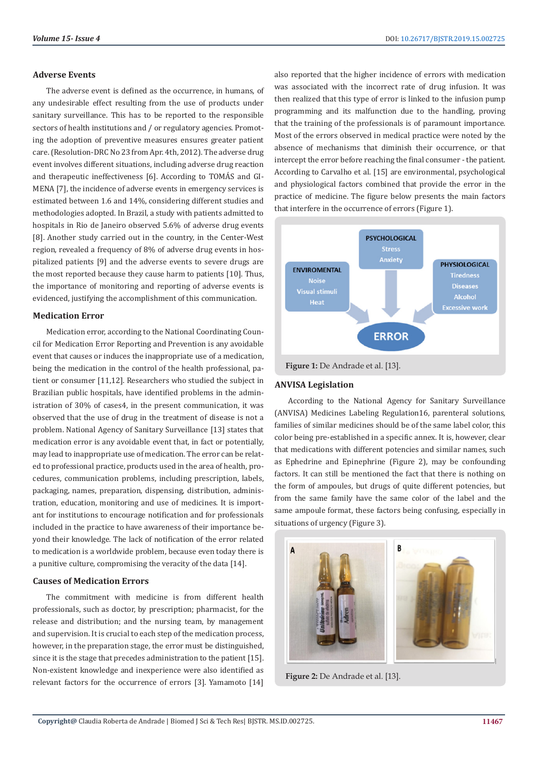# **Adverse Events**

The adverse event is defined as the occurrence, in humans, of any undesirable effect resulting from the use of products under sanitary surveillance. This has to be reported to the responsible sectors of health institutions and / or regulatory agencies. Promoting the adoption of preventive measures ensures greater patient care. (Resolution-DRC No 23 from Apr. 4th, 2012). The adverse drug event involves different situations, including adverse drug reaction and therapeutic ineffectiveness [6]. According to TOMÁS and GI-MENA [7], the incidence of adverse events in emergency services is estimated between 1.6 and 14%, considering different studies and methodologies adopted. In Brazil, a study with patients admitted to hospitals in Rio de Janeiro observed 5.6% of adverse drug events [8]. Another study carried out in the country, in the Center-West region, revealed a frequency of 8% of adverse drug events in hospitalized patients [9] and the adverse events to severe drugs are the most reported because they cause harm to patients [10]. Thus, the importance of monitoring and reporting of adverse events is evidenced, justifying the accomplishment of this communication.

# **Medication Error**

Medication error, according to the National Coordinating Council for Medication Error Reporting and Prevention is any avoidable event that causes or induces the inappropriate use of a medication, being the medication in the control of the health professional, patient or consumer [11,12]. Researchers who studied the subject in Brazilian public hospitals, have identified problems in the administration of 30% of cases4, in the present communication, it was observed that the use of drug in the treatment of disease is not a problem. National Agency of Sanitary Surveillance [13] states that medication error is any avoidable event that, in fact or potentially, may lead to inappropriate use of medication. The error can be related to professional practice, products used in the area of health, procedures, communication problems, including prescription, labels, packaging, names, preparation, dispensing, distribution, administration, education, monitoring and use of medicines. It is important for institutions to encourage notification and for professionals included in the practice to have awareness of their importance beyond their knowledge. The lack of notification of the error related to medication is a worldwide problem, because even today there is a punitive culture, compromising the veracity of the data [14].

# **Causes of Medication Errors**

The commitment with medicine is from different health professionals, such as doctor, by prescription; pharmacist, for the release and distribution; and the nursing team, by management and supervision. It is crucial to each step of the medication process, however, in the preparation stage, the error must be distinguished, since it is the stage that precedes administration to the patient [15]. Non-existent knowledge and inexperience were also identified as relevant factors for the occurrence of errors [3]. Yamamoto [14] also reported that the higher incidence of errors with medication was associated with the incorrect rate of drug infusion. It was then realized that this type of error is linked to the infusion pump programming and its malfunction due to the handling, proving that the training of the professionals is of paramount importance. Most of the errors observed in medical practice were noted by the absence of mechanisms that diminish their occurrence, or that intercept the error before reaching the final consumer - the patient. According to Carvalho et al. [15] are environmental, psychological and physiological factors combined that provide the error in the practice of medicine. The figure below presents the main factors that interfere in the occurrence of errors (Figure 1).



# **ANVISA Legislation**

According to the National Agency for Sanitary Surveillance (ANVISA) Medicines Labeling Regulation16, parenteral solutions, families of similar medicines should be of the same label color, this color being pre-established in a specific annex. It is, however, clear that medications with different potencies and similar names, such as Ephedrine and Epinephrine (Figure 2), may be confounding factors. It can still be mentioned the fact that there is nothing on the form of ampoules, but drugs of quite different potencies, but from the same family have the same color of the label and the same ampoule format, these factors being confusing, especially in situations of urgency (Figure 3).



**Figure 2:** De Andrade et al. [13].